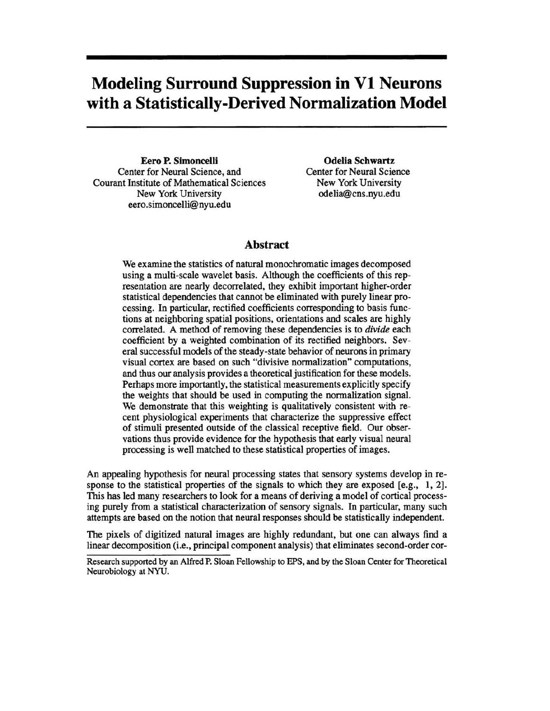## **Modeling Surround Suppression in VI Neurons with a Statistically-Derived Normalization Model**

Eero P. Simoncelli Center for Neural Science, and Courant Institute of Mathematical Sciences New York University eero.simoncelli@nyu.edu

Odelia Schwartz Center for Neural Science New York University odelia@cns.nyu.edu

## Abstract

We examine the statistics of natural monochromatic images decomposed using a multi-scale wavelet basis. Although the coefficients of this representation are nearly decorrelated, they exhibit important higher-order statistical dependencies that cannot be eliminated with purely linear processing. In particular, rectified coefficients corresponding to basis functions at neighboring spatial positions, orientations and scales are highly correlated. A method of removing these dependencies is to *divide* each coefficient by a weighted combination of its rectified neighbors. Several successful models of the steady -state behavior of neurons in primary visual cortex are based on such "divisive normalization" computations, and thus our analysis provides a theoretical justification for these models. Perhaps more importantly, the statistical measurements explicitly specify the weights that should be used in computing the normalization signal. We demonstrate that this weighting is qualitatively consistent with recent physiological experiments that characterize the suppressive effect of stimuli presented outside of the classical receptive field. Our observations thus provide evidence for the hypothesis that early visual neural processing is well matched to these statistical properties of images.

An appealing hypothesis for neural processing states that sensory systems develop in response to the statistical properties of the signals to which they are exposed [e.g., 1, 2]. This has led many researchers to look for a means of deriving a model of cortical processing purely from a statistical characterization of sensory signals. In particular, many such attempts are based on the notion that neural responses should be statistically independent.

The pixels of digitized natural images are highly redundant, but one can always find a linear decomposition (i.e., principal component analysis) that eliminates second-order cor-

Research supported by an Alfred P. Sloan Fellowship to EPS, and by the Sloan Center for Theoretical Neurobiology at NYU.